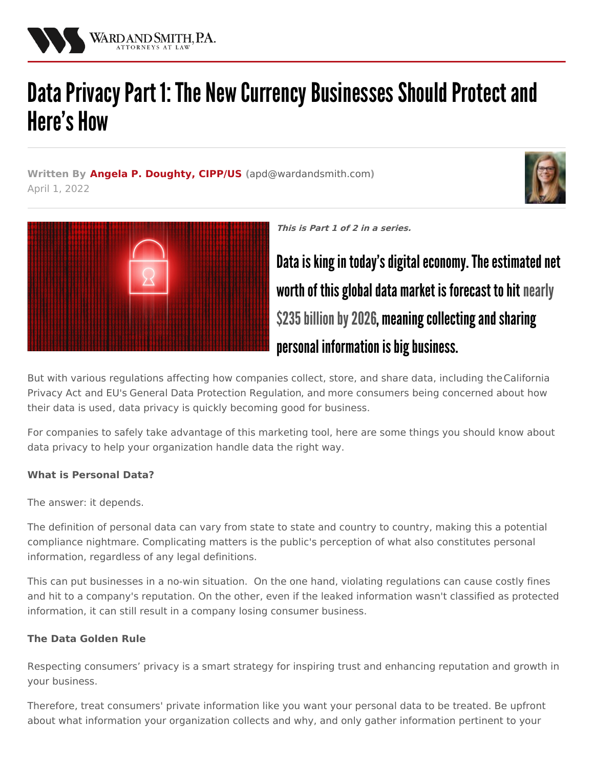

# Data Privacy Part 1: The New Currency Businesses Should Protect and **Here's How**

**Written By Angela P. [Doughty,](/attorneys/angela-doughty) CIPP/US (**[apd@wardandsmith.com](mailto:apd@wardandsmith.com)**)** April 1, 2022





**This is Part 1 of 2 in a series.**

Data is king in today's digital economy. The estimated net worth of this global data market is forecast to hit nearly \$235 billion by 2026, meaning collecting and sharing personal information is big business.

But with various regulations affecting how companies collect, store, and share data, including [theCalifornia](/articles/california-passes-strictest-data-privacy-law) Privacy Act and EU's General Data Protection [Regulation,](https://www.pewresearch.org/internet/2019/11/15/americans-and-privacy-concerned-confused-and-feeling-lack-of-control-over-their-personal-information/) and more consumers being concerned about how their data is used, data privacy is quickly becoming good for business.

For companies to safely take advantage of this marketing tool, here are some things you should know about data privacy to help your organization handle data the right way.

# **What is Personal Data?**

The answer: it depends.

The definition of personal data can vary from state to state and country to country, making this a potential compliance nightmare. Complicating matters is the public's perception of what also constitutes personal information, regardless of any legal definitions.

This can put businesses in a no-win situation. On the one hand, violating regulations can cause costly fines and hit to a company's reputation. On the other, even if the leaked information wasn't classified as protected information, it can still result in a company losing consumer business.

# **The Data Golden Rule**

Respecting consumers' privacy is a smart strategy for inspiring trust and enhancing reputation and growth in your business.

Therefore, treat consumers' private information like you want your personal data to be treated. Be upfront about what information your organization collects and why, and only gather information pertinent to your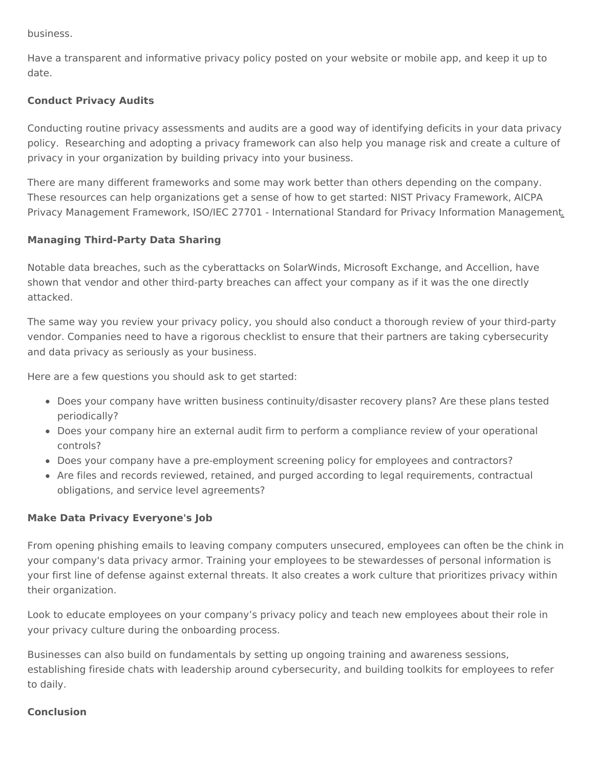business.

Have a transparent and informative privacy policy posted on your website or mobile app, and keep it up to date.

## **Conduct Privacy Audits**

Conducting routine privacy assessments and audits are a good way of identifying deficits in your data privacy policy. Researching and adopting a privacy framework can also help you manage risk and create a culture of privacy in your organization by building privacy into your business.

There are many different frameworks and some may work better than others depending on the company. These resources can help [organizations](https://www.aicpa.org/interestareas/informationtechnology/privacy-management-framework.html) get a sense of how to get started: NIST Privacy [Framework](https://www.nist.gov/privacy-framework/privacy-framework), AICPA Privacy Management Framework, ISO/IEC 27701 - [International](https://www.dnvgl.com/services/iso-iec-27701-international-standard-for-privacy-information-management-159186) Standard for Privacy Information Management.

### **Managing Third-Party Data Sharing**

Notable data breaches, such as the cyberattacks on SolarWinds, Microsoft Exchange, and Accellion, have shown that vendor and other third-party breaches can affect your company as if it was the one directly attacked.

The same way you review your privacy policy, you should also conduct a thorough review of your third-party vendor. Companies need to have a rigorous checklist to ensure that their partners are taking cybersecurity and data privacy as seriously as your business.

Here are a few questions you should ask to get started:

- Does your company have written business continuity/disaster recovery plans? Are these plans tested periodically?
- Does your company hire an external audit firm to perform a compliance review of your operational controls?
- Does your company have a pre-employment screening policy for employees and contractors?
- Are files and records reviewed, retained, and purged according to legal requirements, contractual obligations, and service level agreements?

#### **Make Data Privacy Everyone's Job**

From opening phishing emails to leaving company computers unsecured, employees can often be the chink in your company's data privacy armor. Training your employees to be stewardesses of personal information is your first line of defense against external threats. It also creates a work culture that prioritizes privacy within their organization.

Look to educate employees on your company's privacy policy and teach new employees about their role in your privacy culture during the onboarding process.

Businesses can also build on fundamentals by setting up ongoing training and awareness sessions, establishing fireside chats with leadership around cybersecurity, and building toolkits for employees to refer to daily.

#### **Conclusion**